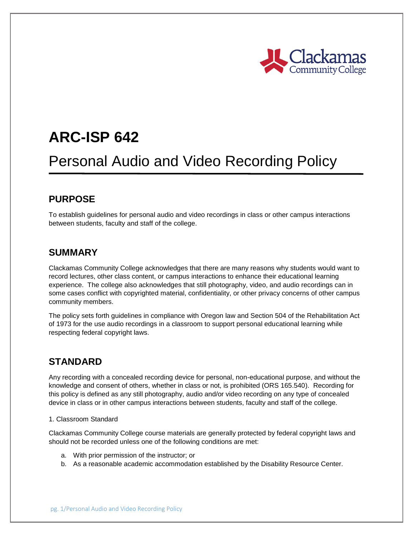

# **ARC-ISP 642**

## Personal Audio and Video Recording Policy

### **PURPOSE**

To establish guidelines for personal audio and video recordings in class or other campus interactions between students, faculty and staff of the college.

#### **SUMMARY**

Clackamas Community College acknowledges that there are many reasons why students would want to record lectures, other class content, or campus interactions to enhance their educational learning experience. The college also acknowledges that still photography, video, and audio recordings can in some cases conflict with copyrighted material, confidentiality, or other privacy concerns of other campus community members.

The policy sets forth guidelines in compliance with Oregon law and Section 504 of the Rehabilitation Act of 1973 for the use audio recordings in a classroom to support personal educational learning while respecting federal copyright laws.

#### **STANDARD**

Any recording with a concealed recording device for personal, non-educational purpose, and without the knowledge and consent of others, whether in class or not, is prohibited (ORS 165.540). Recording for this policy is defined as any still photography, audio and/or video recording on any type of concealed device in class or in other campus interactions between students, faculty and staff of the college.

#### 1. Classroom Standard

Clackamas Community College course materials are generally protected by federal copyright laws and should not be recorded unless one of the following conditions are met:

- a. With prior permission of the instructor; or
- b. As a reasonable academic accommodation established by the Disability Resource Center.